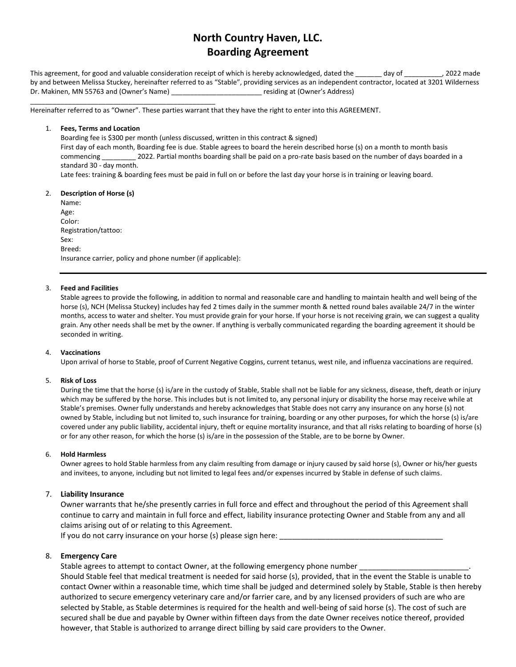# **North Country Haven, LLC. Boarding Agreement**

This agreement, for good and valuable consideration receipt of which is hereby acknowledged, dated the day of \_\_\_\_\_\_\_\_\_\_\_\_\_\_\_, 2022 made by and between Melissa Stuckey, hereinafter referred to as "Stable", providing services as an independent contractor, located at 3201 Wilderness Dr. Makinen, MN 55763 and (Owner's Name) \_\_\_\_\_\_\_\_\_\_\_\_\_\_\_\_\_\_\_\_\_\_\_\_\_\_\_\_\_\_\_\_ residing at (Owner's Address)

Hereinafter referred to as "Owner". These parties warrant that they have the right to enter into this AGREEMENT.

## 1. **Fees, Terms and Location**

\_\_\_\_\_\_\_\_\_\_\_\_\_\_\_\_\_\_\_\_\_\_\_\_\_\_\_\_\_\_\_\_\_\_\_\_\_\_\_\_\_\_\_\_\_\_\_\_\_

Boarding fee is \$300 per month (unless discussed, written in this contract & signed) First day of each month, Boarding fee is due. Stable agrees to board the herein described horse (s) on a month to month basis

commencing \_\_\_\_\_\_\_\_\_ 2022. Partial months boarding shall be paid on a pro-rate basis based on the number of days boarded in a standard 30 - day month.

Late fees: training & boarding fees must be paid in full on or before the last day your horse is in training or leaving board.

## 2. **Description of Horse (s)**

Name: Age: Color: Registration/tattoo: Sex: Breed: Insurance carrier, policy and phone number (if applicable):

## 3. **Feed and Facilities**

Stable agrees to provide the following, in addition to normal and reasonable care and handling to maintain health and well being of the horse (s), NCH (Melissa Stuckey) includes hay fed 2 times daily in the summer month & netted round bales available 24/7 in the winter months, access to water and shelter. You must provide grain for your horse. If your horse is not receiving grain, we can suggest a quality grain. Any other needs shall be met by the owner. If anything is verbally communicated regarding the boarding agreement it should be seconded in writing.

## 4. **Vaccinations**

Upon arrival of horse to Stable, proof of Current Negative Coggins, current tetanus, west nile, and influenza vaccinations are required.

## 5. **Risk of Loss**

During the time that the horse (s) is/are in the custody of Stable, Stable shall not be liable for any sickness, disease, theft, death or injury which may be suffered by the horse. This includes but is not limited to, any personal injury or disability the horse may receive while at Stable's premises. Owner fully understands and hereby acknowledges that Stable does not carry any insurance on any horse (s) not owned by Stable, including but not limited to, such insurance for training, boarding or any other purposes, for which the horse (s) is/are covered under any public liability, accidental injury, theft or equine mortality insurance, and that all risks relating to boarding of horse (s) or for any other reason, for which the horse (s) is/are in the possession of the Stable, are to be borne by Owner.

## 6. **Hold Harmless**

Owner agrees to hold Stable harmless from any claim resulting from damage or injury caused by said horse (s), Owner or his/her guests and invitees, to anyone, including but not limited to legal fees and/or expenses incurred by Stable in defense of such claims.

# 7. **Liability Insurance**

Owner warrants that he/she presently carries in full force and effect and throughout the period of this Agreement shall continue to carry and maintain in full force and effect, liability insurance protecting Owner and Stable from any and all claims arising out of or relating to this Agreement.

If you do not carry insurance on your horse (s) please sign here:

# 8. **Emergency Care**

Stable agrees to attempt to contact Owner, at the following emergency phone number Should Stable feel that medical treatment is needed for said horse (s), provided, that in the event the Stable is unable to contact Owner within a reasonable time, which time shall be judged and determined solely by Stable, Stable is then hereby authorized to secure emergency veterinary care and/or farrier care, and by any licensed providers of such are who are selected by Stable, as Stable determines is required for the health and well-being of said horse (s). The cost of such are secured shall be due and payable by Owner within fifteen days from the date Owner receives notice thereof, provided however, that Stable is authorized to arrange direct billing by said care providers to the Owner.